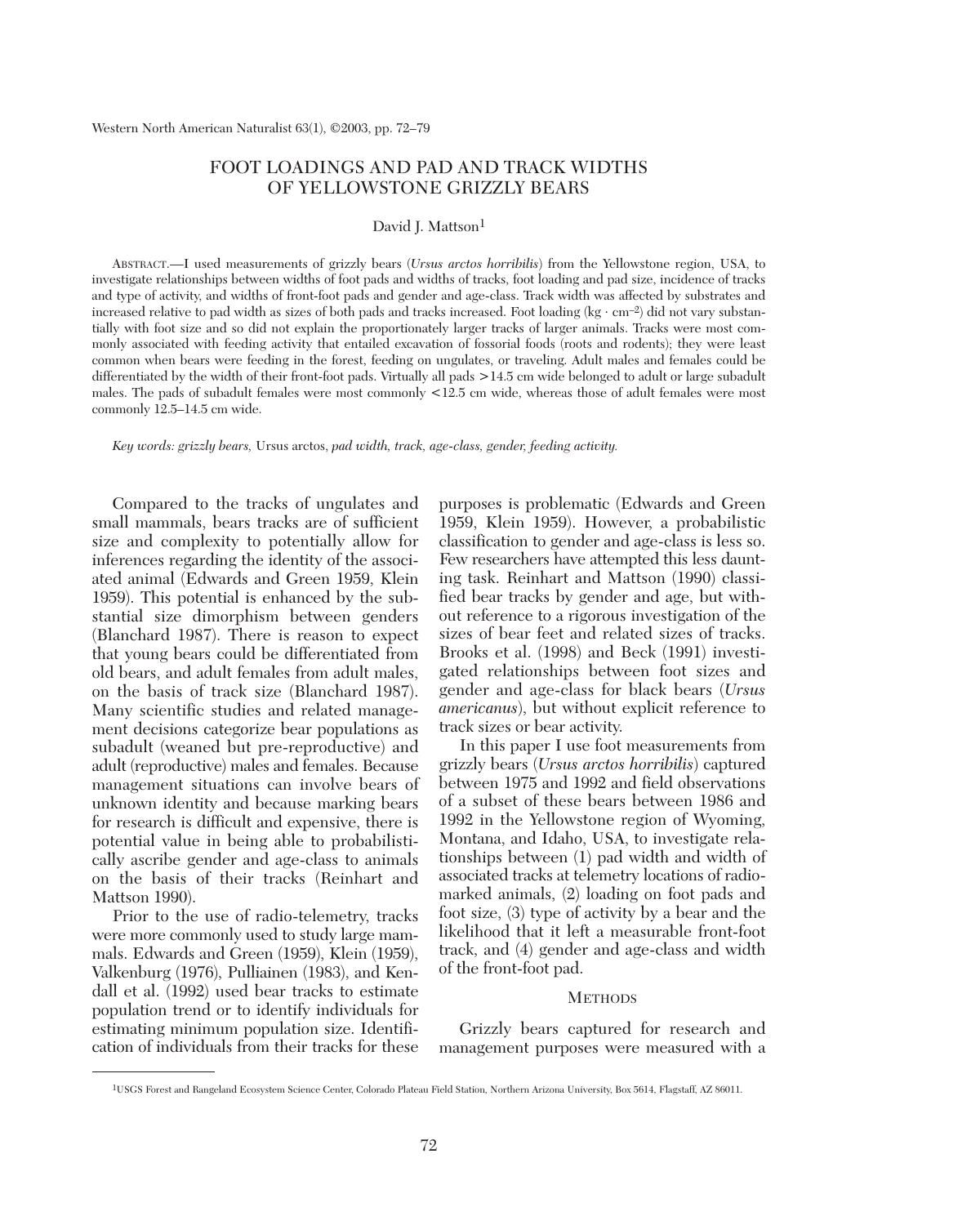# FOOT LOADINGS AND PAD AND TRACK WIDTHS OF YELLOWSTONE GRIZZLY BEARS

#### David J. Mattson<sup>1</sup>

ABSTRACT.—I used measurements of grizzly bears (*Ursus arctos horribilis*) from the Yellowstone region, USA, to investigate relationships between widths of foot pads and widths of tracks, foot loading and pad size, incidence of tracks and type of activity, and widths of front-foot pads and gender and age-class. Track width was affected by substrates and increased relative to pad width as sizes of both pads and tracks increased. Foot loading (kg ⋅ cm–2) did not vary substantially with foot size and so did not explain the proportionately larger tracks of larger animals. Tracks were most commonly associated with feeding activity that entailed excavation of fossorial foods (roots and rodents); they were least common when bears were feeding in the forest, feeding on ungulates, or traveling. Adult males and females could be differentiated by the width of their front-foot pads. Virtually all pads >14.5 cm wide belonged to adult or large subadult males. The pads of subadult females were most commonly <12.5 cm wide, whereas those of adult females were most commonly 12.5–14.5 cm wide.

*Key words: grizzly bears,* Ursus arctos, *pad width, track, age-class, gender, feeding activity.*

Compared to the tracks of ungulates and small mammals, bears tracks are of sufficient size and complexity to potentially allow for inferences regarding the identity of the associated animal (Edwards and Green 1959, Klein 1959). This potential is enhanced by the substantial size dimorphism between genders (Blanchard 1987). There is reason to expect that young bears could be differentiated from old bears, and adult females from adult males, on the basis of track size (Blanchard 1987). Many scientific studies and related management decisions categorize bear populations as subadult (weaned but pre-reproductive) and adult (reproductive) males and females. Because management situations can involve bears of unknown identity and because marking bears for research is difficult and expensive, there is potential value in being able to probabilistically ascribe gender and age-class to animals on the basis of their tracks (Reinhart and Mattson 1990).

Prior to the use of radio-telemetry, tracks were more commonly used to study large mammals. Edwards and Green (1959), Klein (1959), Valkenburg (1976), Pulliainen (1983), and Kendall et al. (1992) used bear tracks to estimate population trend or to identify individuals for estimating minimum population size. Identification of individuals from their tracks for these

purposes is problematic (Edwards and Green 1959, Klein 1959). However, a probabilistic classification to gender and age-class is less so. Few researchers have attempted this less daunting task. Reinhart and Mattson (1990) classified bear tracks by gender and age, but without reference to a rigorous investigation of the sizes of bear feet and related sizes of tracks. Brooks et al. (1998) and Beck (1991) investigated relationships between foot sizes and gender and age-class for black bears (*Ursus americanus*), but without explicit reference to track sizes or bear activity.

In this paper I use foot measurements from grizzly bears (*Ursus arctos horribilis*) captured between 1975 and 1992 and field observations of a subset of these bears between 1986 and 1992 in the Yellowstone region of Wyoming, Montana, and Idaho, USA, to investigate relationships between (1) pad width and width of associated tracks at telemetry locations of radiomarked animals, (2) loading on foot pads and foot size, (3) type of activity by a bear and the likelihood that it left a measurable front-foot track, and (4) gender and age-class and width of the front-foot pad.

## **METHODS**

Grizzly bears captured for research and management purposes were measured with a

<sup>1</sup>USGS Forest and Rangeland Ecosystem Science Center, Colorado Plateau Field Station, Northern Arizona University, Box 5614, Flagstaff, AZ 86011.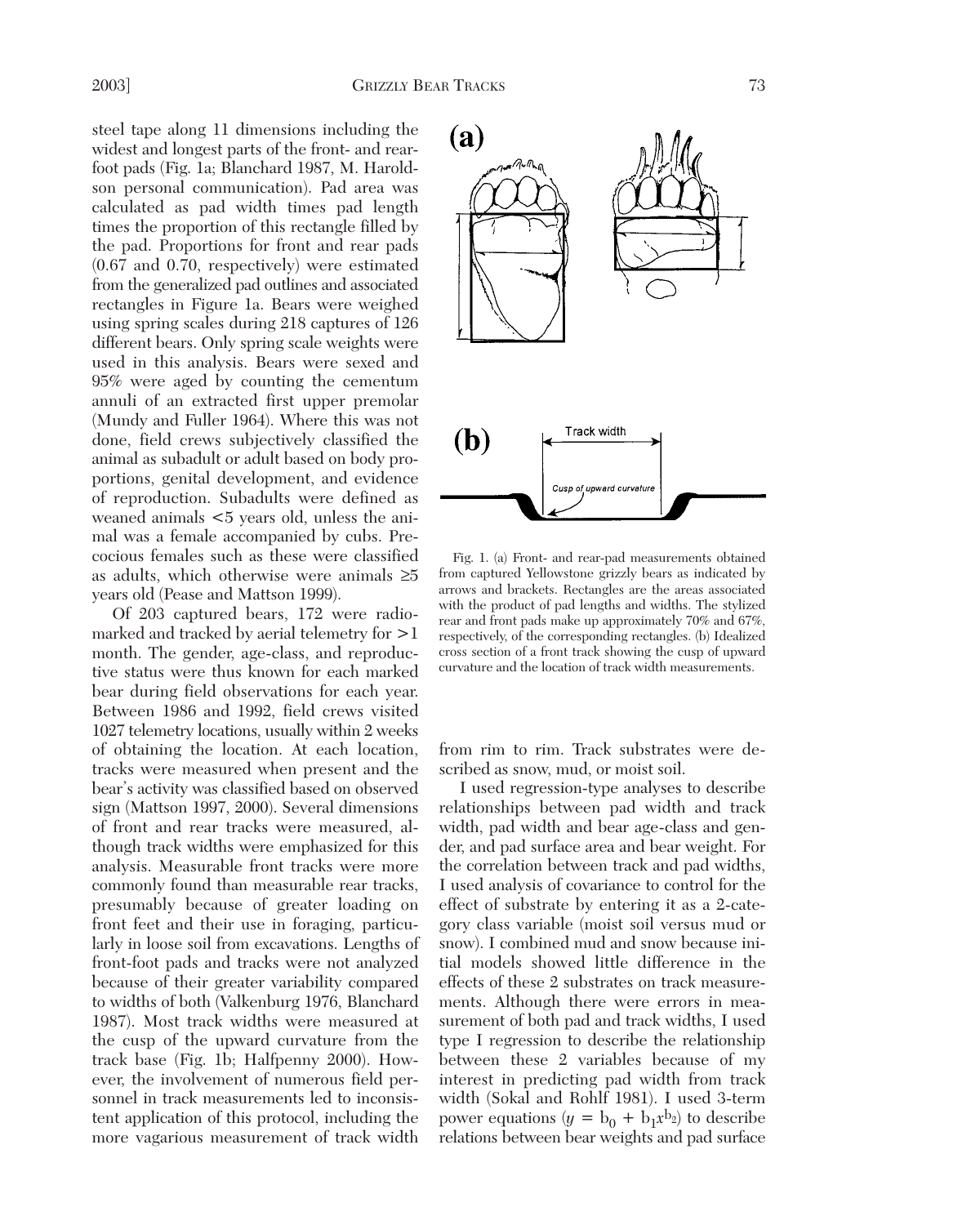steel tape along 11 dimensions including the widest and longest parts of the front- and rearfoot pads (Fig. 1a; Blanchard 1987, M. Haroldson personal communication). Pad area was calculated as pad width times pad length times the proportion of this rectangle filled by the pad. Proportions for front and rear pads (0.67 and 0.70, respectively) were estimated from the generalized pad outlines and associated rectangles in Figure 1a. Bears were weighed using spring scales during 218 captures of 126 different bears. Only spring scale weights were used in this analysis. Bears were sexed and 95% were aged by counting the cementum annuli of an extracted first upper premolar (Mundy and Fuller 1964). Where this was not done, field crews subjectively classified the animal as subadult or adult based on body proportions, genital development, and evidence of reproduction. Subadults were defined as weaned animals <5 years old, unless the animal was a female accompanied by cubs. Precocious females such as these were classified as adults, which otherwise were animals ≥5 years old (Pease and Mattson 1999).

Of 203 captured bears, 172 were radiomarked and tracked by aerial telemetry for >1 month. The gender, age-class, and reproductive status were thus known for each marked bear during field observations for each year. Between 1986 and 1992, field crews visited 1027 telemetry locations, usually within 2 weeks of obtaining the location. At each location, tracks were measured when present and the bear's activity was classified based on observed sign (Mattson 1997, 2000). Several dimensions of front and rear tracks were measured, although track widths were emphasized for this analysis. Measurable front tracks were more commonly found than measurable rear tracks, presumably because of greater loading on front feet and their use in foraging, particularly in loose soil from excavations. Lengths of front-foot pads and tracks were not analyzed because of their greater variability compared to widths of both (Valkenburg 1976, Blanchard 1987). Most track widths were measured at the cusp of the upward curvature from the track base (Fig. 1b; Halfpenny 2000). However, the involvement of numerous field personnel in track measurements led to inconsistent application of this protocol, including the more vagarious measurement of track width



Fig. 1. (a) Front- and rear-pad measurements obtained from captured Yellowstone grizzly bears as indicated by arrows and brackets. Rectangles are the areas associated with the product of pad lengths and widths. The stylized rear and front pads make up approximately 70% and 67%, respectively, of the corresponding rectangles. (b) Idealized cross section of a front track showing the cusp of upward curvature and the location of track width measurements.

from rim to rim. Track substrates were described as snow, mud, or moist soil.

I used regression-type analyses to describe relationships between pad width and track width, pad width and bear age-class and gender, and pad surface area and bear weight. For the correlation between track and pad widths, I used analysis of covariance to control for the effect of substrate by entering it as a 2-category class variable (moist soil versus mud or snow). I combined mud and snow because initial models showed little difference in the effects of these 2 substrates on track measurements. Although there were errors in measurement of both pad and track widths, I used type I regression to describe the relationship between these 2 variables because of my interest in predicting pad width from track width (Sokal and Rohlf 1981). I used 3-term power equations  $(y = b_0 + b_1 x^{b_2})$  to describe relations between bear weights and pad surface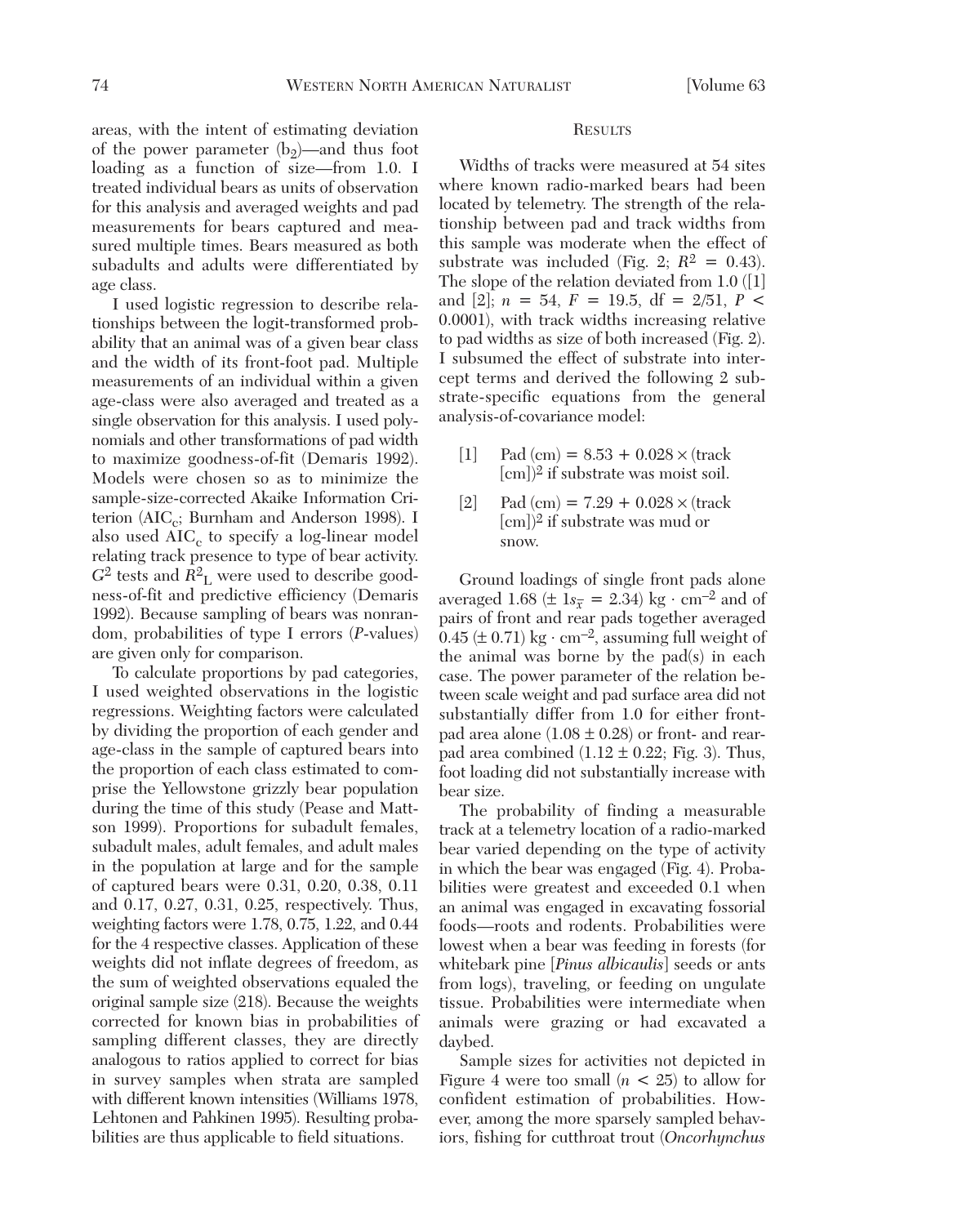areas, with the intent of estimating deviation of the power parameter  $(b_2)$ —and thus foot loading as a function of size—from 1.0. I treated individual bears as units of observation for this analysis and averaged weights and pad measurements for bears captured and measured multiple times. Bears measured as both subadults and adults were differentiated by age class.

I used logistic regression to describe relationships between the logit-transformed probability that an animal was of a given bear class and the width of its front-foot pad. Multiple measurements of an individual within a given age-class were also averaged and treated as a single observation for this analysis. I used polynomials and other transformations of pad width to maximize goodness-of-fit (Demaris 1992). Models were chosen so as to minimize the sample-size-corrected Akaike Information Criterion ( $AIC_c$ ; Burnham and Anderson 1998). I also used  $AIC_c$  to specify a log-linear model relating track presence to type of bear activity.  $G^2$  tests and  $R^2$ <sub>L</sub> were used to describe goodness-of-fit and predictive efficiency (Demaris 1992). Because sampling of bears was nonrandom, probabilities of type I errors (*P*-values) are given only for comparison.

To calculate proportions by pad categories, I used weighted observations in the logistic regressions. Weighting factors were calculated by dividing the proportion of each gender and age-class in the sample of captured bears into the proportion of each class estimated to comprise the Yellowstone grizzly bear population during the time of this study (Pease and Mattson 1999). Proportions for subadult females, subadult males, adult females, and adult males in the population at large and for the sample of captured bears were 0.31, 0.20, 0.38, 0.11 and 0.17, 0.27, 0.31, 0.25, respectively. Thus, weighting factors were 1.78, 0.75, 1.22, and 0.44 for the 4 respective classes. Application of these weights did not inflate degrees of freedom, as the sum of weighted observations equaled the original sample size (218). Because the weights corrected for known bias in probabilities of sampling different classes, they are directly analogous to ratios applied to correct for bias in survey samples when strata are sampled with different known intensities (Williams 1978, Lehtonen and Pahkinen 1995). Resulting probabilities are thus applicable to field situations.

#### **RESULTS**

Widths of tracks were measured at 54 sites where known radio-marked bears had been located by telemetry. The strength of the relationship between pad and track widths from this sample was moderate when the effect of substrate was included (Fig. 2;  $R^2 = 0.43$ ). The slope of the relation deviated from 1.0 ([1] and [2];  $n = 54$ ,  $F = 19.5$ , df = 2/51, P < 0.0001), with track widths increasing relative to pad widths as size of both increased (Fig. 2). I subsumed the effect of substrate into intercept terms and derived the following 2 substrate-specific equations from the general analysis-of-covariance model:

- [1] Pad (cm) =  $8.53 + 0.028 \times$  (track [cm])2 if substrate was moist soil.
- [2] Pad (cm) =  $7.29 + 0.028 \times$  (track [cm])2 if substrate was mud or snow.

Ground loadings of single front pads alone averaged 1.68 ( $\pm$  1 $s_{\overline{x}}$  = 2.34) kg · cm<sup>-2</sup> and of pairs of front and rear pads together averaged  $0.45 (\pm 0.71)$  kg · cm<sup>-2</sup>, assuming full weight of the animal was borne by the pad(s) in each case. The power parameter of the relation between scale weight and pad surface area did not substantially differ from 1.0 for either frontpad area alone  $(1.08 \pm 0.28)$  or front- and rearpad area combined  $(1.12 \pm 0.22;$  Fig. 3). Thus, foot loading did not substantially increase with bear size.

The probability of finding a measurable track at a telemetry location of a radio-marked bear varied depending on the type of activity in which the bear was engaged (Fig. 4). Probabilities were greatest and exceeded 0.1 when an animal was engaged in excavating fossorial foods—roots and rodents. Probabilities were lowest when a bear was feeding in forests (for whitebark pine [*Pinus albicaulis*] seeds or ants from logs), traveling, or feeding on ungulate tissue. Probabilities were intermediate when animals were grazing or had excavated a daybed.

Sample sizes for activities not depicted in Figure 4 were too small  $(n < 25)$  to allow for confident estimation of probabilities. However, among the more sparsely sampled behaviors, fishing for cutthroat trout (*Oncorhynchus*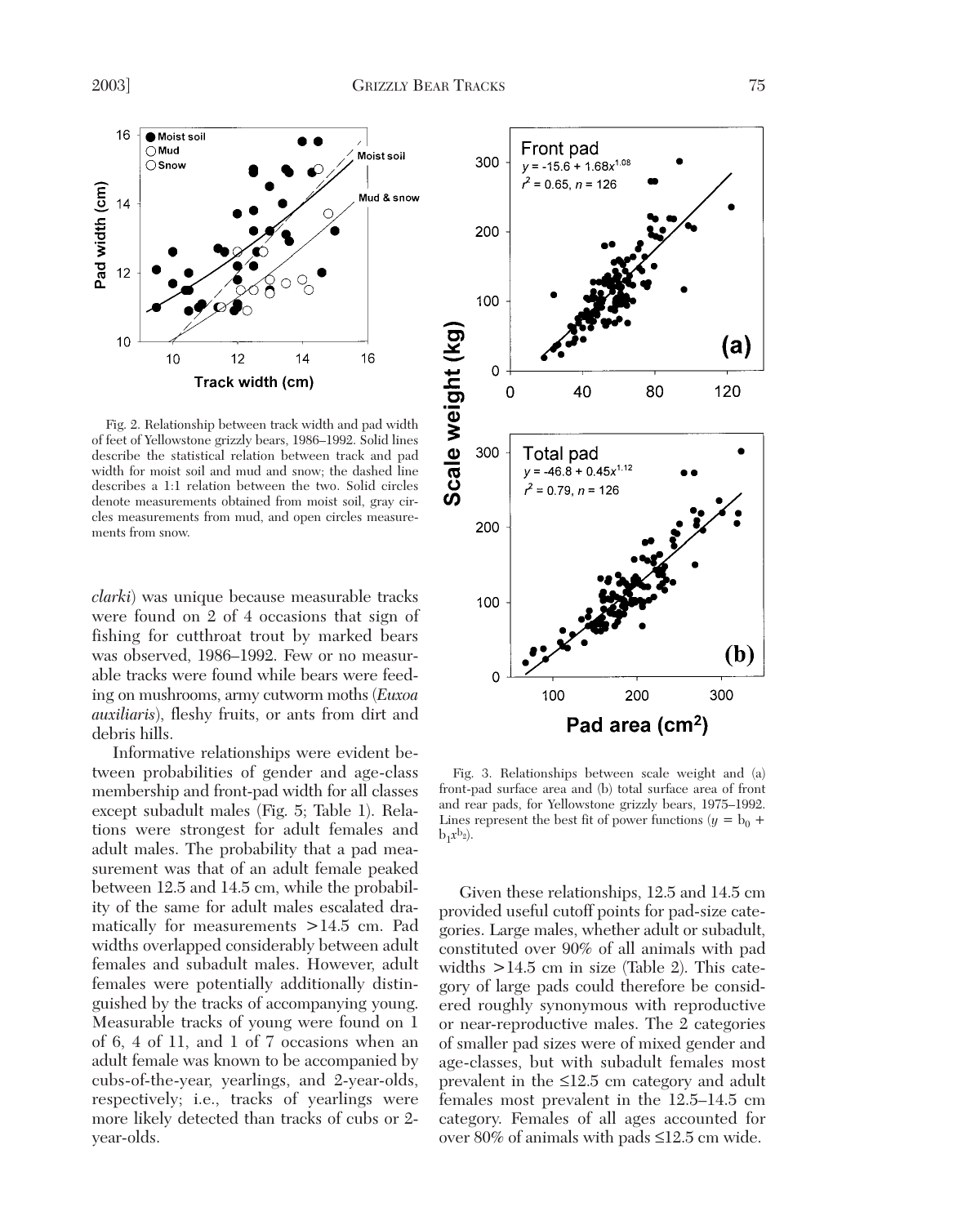

Fig. 2. Relationship between track width and pad width of feet of Yellowstone grizzly bears, 1986–1992. Solid lines describe the statistical relation between track and pad width for moist soil and mud and snow; the dashed line describes a 1:1 relation between the two. Solid circles denote measurements obtained from moist soil, gray circles measurements from mud, and open circles measurements from snow.

*clarki*) was unique because measurable tracks were found on 2 of 4 occasions that sign of fishing for cutthroat trout by marked bears was observed, 1986–1992. Few or no measurable tracks were found while bears were feeding on mushrooms, army cutworm moths (*Euxoa auxiliaris*), fleshy fruits, or ants from dirt and debris hills.

Informative relationships were evident between probabilities of gender and age-class membership and front-pad width for all classes except subadult males (Fig. 5; Table 1). Relations were strongest for adult females and adult males. The probability that a pad measurement was that of an adult female peaked between 12.5 and 14.5 cm, while the probability of the same for adult males escalated dramatically for measurements >14.5 cm. Pad widths overlapped considerably between adult females and subadult males. However, adult females were potentially additionally distinguished by the tracks of accompanying young. Measurable tracks of young were found on 1 of 6, 4 of 11, and 1 of 7 occasions when an adult female was known to be accompanied by cubs-of-the-year, yearlings, and 2-year-olds, respectively; i.e., tracks of yearlings were more likely detected than tracks of cubs or 2 year-olds.



Fig. 3. Relationships between scale weight and (a) front-pad surface area and (b) total surface area of front and rear pads, for Yellowstone grizzly bears, 1975–1992. Lines represent the best fit of power functions ( $y = b_0 + b_1$  $b_1x^b_2$ ).

Given these relationships, 12.5 and 14.5 cm provided useful cutoff points for pad-size categories. Large males, whether adult or subadult, constituted over 90% of all animals with pad widths  $>14.5$  cm in size (Table 2). This category of large pads could therefore be considered roughly synonymous with reproductive or near-reproductive males. The 2 categories of smaller pad sizes were of mixed gender and age-classes, but with subadult females most prevalent in the ≤12.5 cm category and adult females most prevalent in the 12.5–14.5 cm category. Females of all ages accounted for over 80% of animals with pads ≤12.5 cm wide.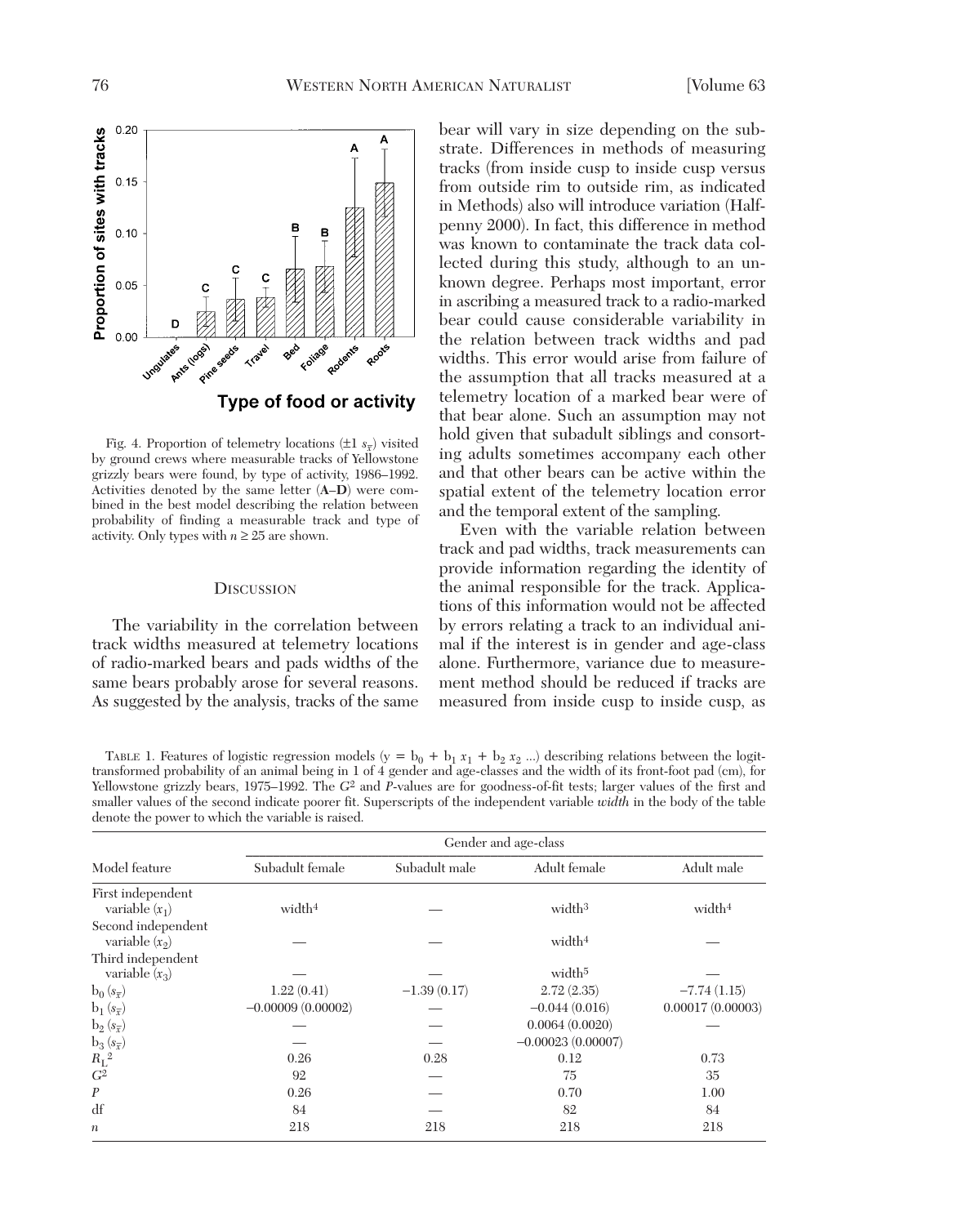

Fig. 4. Proportion of telemetry locations  $(\pm 1 \ s_{\overline{x}})$  visited by ground crews where measurable tracks of Yellowstone grizzly bears were found, by type of activity, 1986–1992. Activities denoted by the same letter (**A**–**D**) were combined in the best model describing the relation between probability of finding a measurable track and type of activity. Only types with  $n \geq 25$  are shown.

### **DISCUSSION**

The variability in the correlation between track widths measured at telemetry locations of radio-marked bears and pads widths of the same bears probably arose for several reasons. As suggested by the analysis, tracks of the same bear will vary in size depending on the substrate. Differences in methods of measuring tracks (from inside cusp to inside cusp versus from outside rim to outside rim, as indicated in Methods) also will introduce variation (Halfpenny 2000). In fact, this difference in method was known to contaminate the track data collected during this study, although to an unknown degree. Perhaps most important, error in ascribing a measured track to a radio-marked bear could cause considerable variability in the relation between track widths and pad widths. This error would arise from failure of the assumption that all tracks measured at a telemetry location of a marked bear were of that bear alone. Such an assumption may not hold given that subadult siblings and consorting adults sometimes accompany each other and that other bears can be active within the spatial extent of the telemetry location error and the temporal extent of the sampling.

Even with the variable relation between track and pad widths, track measurements can provide information regarding the identity of the animal responsible for the track. Applications of this information would not be affected by errors relating a track to an individual animal if the interest is in gender and age-class alone. Furthermore, variance due to measurement method should be reduced if tracks are measured from inside cusp to inside cusp, as

TABLE 1. Features of logistic regression models (y =  $b_0 + b_1 x_1 + b_2 x_2$  ...) describing relations between the logittransformed probability of an animal being in 1 of 4 gender and age-classes and the width of its front-foot pad (cm), for Yellowstone grizzly bears, 1975–1992. The *G*2 and *P*-values are for goodness-of-fit tests; larger values of the first and smaller values of the second indicate poorer fit. Superscripts of the independent variable *width* in the body of the table denote the power to which the variable is raised.

| Model feature                          | Gender and age-class |               |                     |                    |  |
|----------------------------------------|----------------------|---------------|---------------------|--------------------|--|
|                                        | Subadult female      | Subadult male | Adult female        | Adult male         |  |
| First independent<br>variable $(x_1)$  | width $4$            |               | width <sup>3</sup>  | width <sup>4</sup> |  |
| Second independent<br>variable $(x_2)$ |                      |               | width <sup>4</sup>  |                    |  |
| Third independent<br>variable $(x_3)$  |                      |               | width <sup>5</sup>  |                    |  |
| $b_0(s_{\overline{x}})$                | 1.22(0.41)           | $-1.39(0.17)$ | 2.72(2.35)          | $-7.74(1.15)$      |  |
| $b_1(s_{\overline{x}})$                | $-0.00009(0.00002)$  |               | $-0.044(0.016)$     | 0.00017(0.00003)   |  |
| $b_2(s_{\overline{x}})$                |                      |               | 0.0064(0.0020)      |                    |  |
| $b_3(s_{\overline{x}})$                |                      |               | $-0.00023(0.00007)$ |                    |  |
| $R_{\rm L}{}^2$                        | 0.26                 | 0.28          | 0.12                | 0.73               |  |
| G <sup>2</sup>                         | 92                   |               | 75                  | 35                 |  |
| $\boldsymbol{P}$                       | 0.26                 |               | 0.70                | 1.00               |  |
| df                                     | 84                   |               | 82                  | 84                 |  |
| $\boldsymbol{n}$                       | 218                  | 218           | 218                 | 218                |  |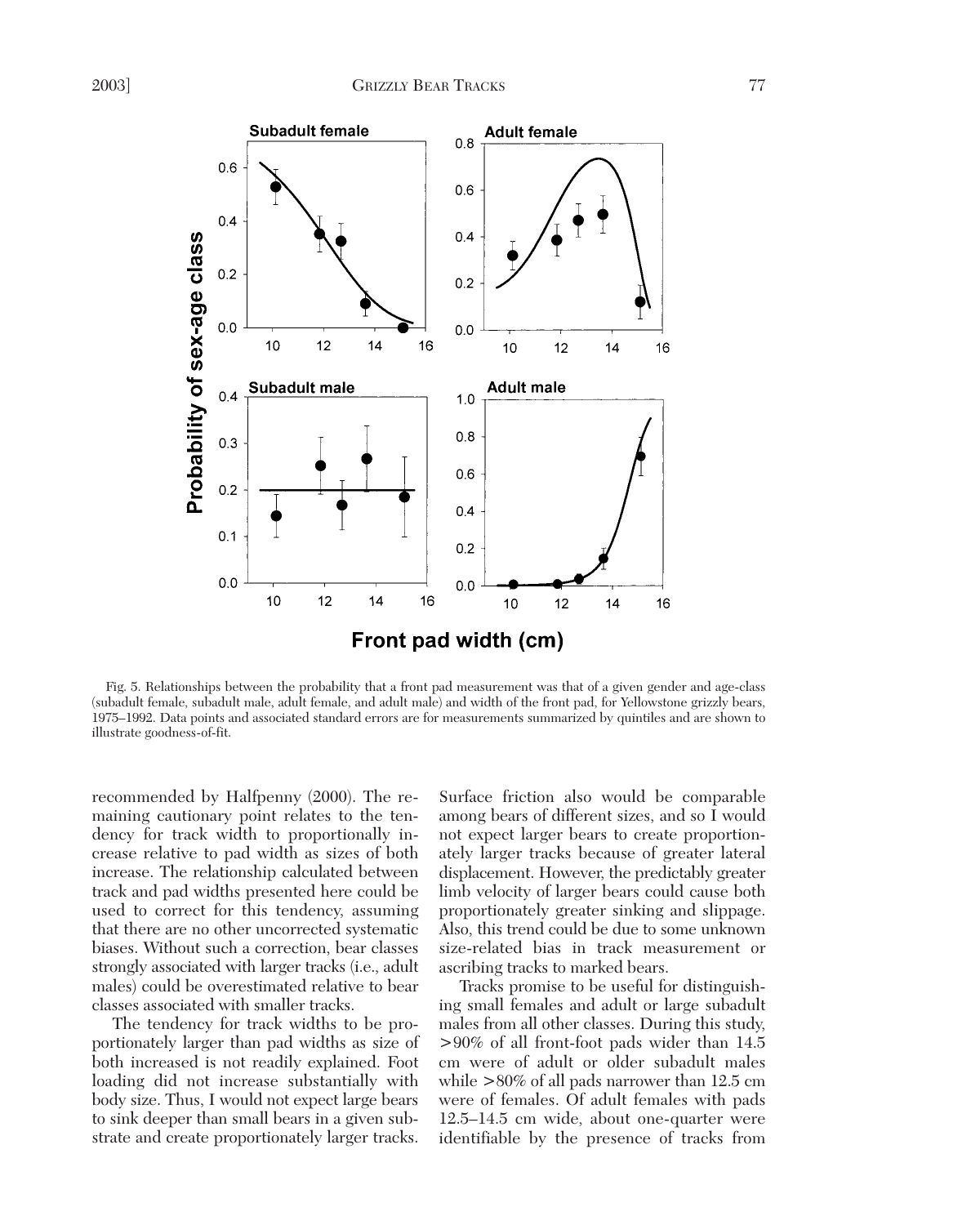

Fig. 5. Relationships between the probability that a front pad measurement was that of a given gender and age-class (subadult female, subadult male, adult female, and adult male) and width of the front pad, for Yellowstone grizzly bears, 1975–1992. Data points and associated standard errors are for measurements summarized by quintiles and are shown to illustrate goodness-of-fit.

recommended by Halfpenny (2000). The remaining cautionary point relates to the tendency for track width to proportionally increase relative to pad width as sizes of both increase. The relationship calculated between track and pad widths presented here could be used to correct for this tendency, assuming that there are no other uncorrected systematic biases. Without such a correction, bear classes strongly associated with larger tracks (i.e., adult males) could be overestimated relative to bear classes associated with smaller tracks.

The tendency for track widths to be proportionately larger than pad widths as size of both increased is not readily explained. Foot loading did not increase substantially with body size. Thus, I would not expect large bears to sink deeper than small bears in a given substrate and create proportionately larger tracks.

Surface friction also would be comparable among bears of different sizes, and so I would not expect larger bears to create proportionately larger tracks because of greater lateral displacement. However, the predictably greater limb velocity of larger bears could cause both proportionately greater sinking and slippage. Also, this trend could be due to some unknown size-related bias in track measurement or ascribing tracks to marked bears.

Tracks promise to be useful for distinguishing small females and adult or large subadult males from all other classes. During this study, >90% of all front-foot pads wider than 14.5 cm were of adult or older subadult males while >80% of all pads narrower than 12.5 cm were of females. Of adult females with pads 12.5–14.5 cm wide, about one-quarter were identifiable by the presence of tracks from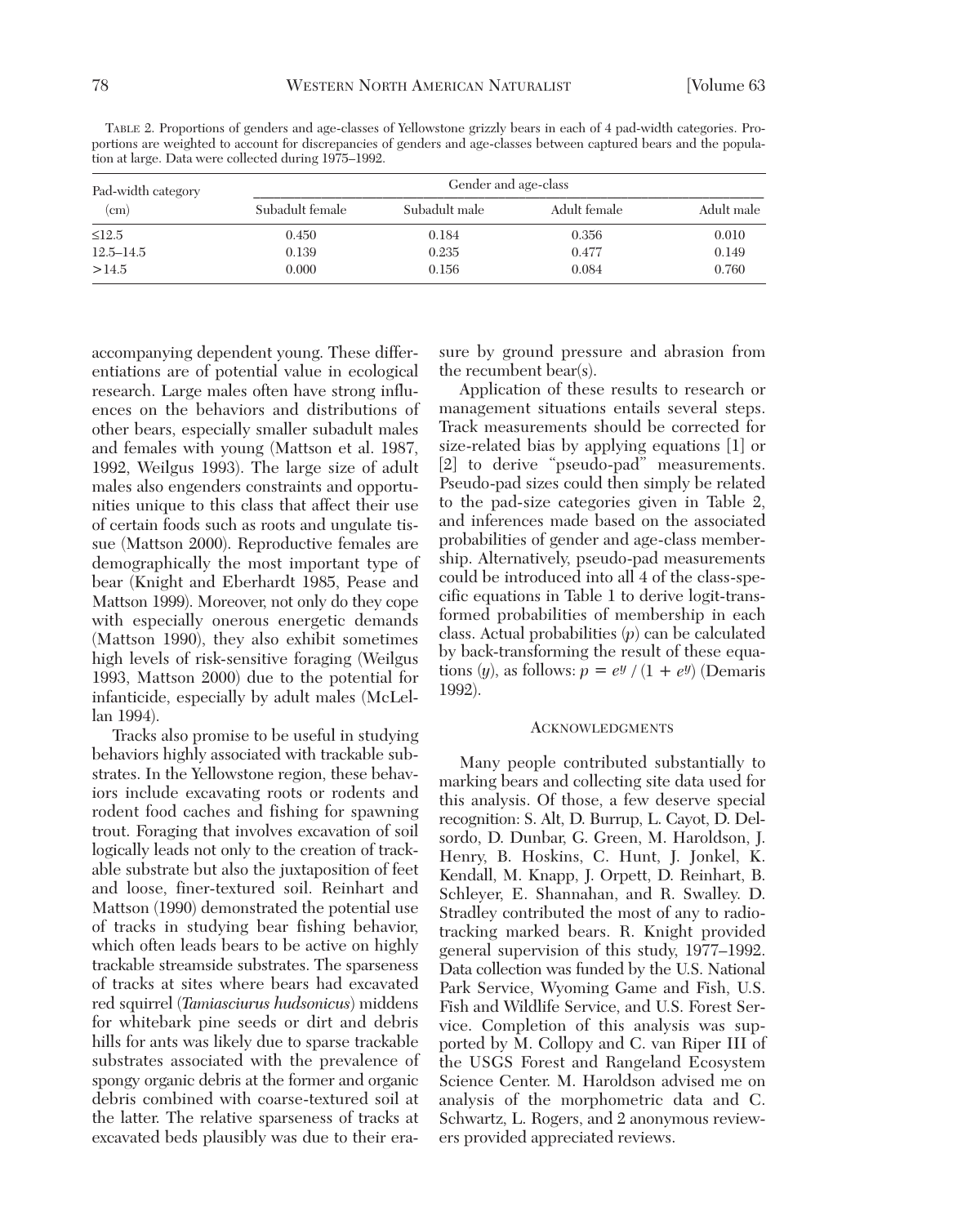TABLE 2. Proportions of genders and age-classes of Yellowstone grizzly bears in each of 4 pad-width categories. Proportions are weighted to account for discrepancies of genders and age-classes between captured bears and the population at large. Data were collected during 1975–1992.

| Pad-width category<br>(c <sub>m</sub> ) | Gender and age-class |               |              |            |  |
|-----------------------------------------|----------------------|---------------|--------------|------------|--|
|                                         | Subadult female      | Subadult male | Adult female | Adult male |  |
| $\leq$ 12.5                             | 0.450                | 0.184         | 0.356        | 0.010      |  |
| $12.5 - 14.5$                           | 0.139                | 0.235         | 0.477        | 0.149      |  |
| >14.5                                   | 0.000                | 0.156         | 0.084        | 0.760      |  |

accompanying dependent young. These differentiations are of potential value in ecological research. Large males often have strong influences on the behaviors and distributions of other bears, especially smaller subadult males and females with young (Mattson et al. 1987, 1992, Weilgus 1993). The large size of adult males also engenders constraints and opportunities unique to this class that affect their use of certain foods such as roots and ungulate tissue (Mattson 2000). Reproductive females are demographically the most important type of bear (Knight and Eberhardt 1985, Pease and Mattson 1999). Moreover, not only do they cope with especially onerous energetic demands (Mattson 1990), they also exhibit sometimes high levels of risk-sensitive foraging (Weilgus 1993, Mattson 2000) due to the potential for infanticide, especially by adult males (McLellan 1994).

Tracks also promise to be useful in studying behaviors highly associated with trackable substrates. In the Yellowstone region, these behaviors include excavating roots or rodents and rodent food caches and fishing for spawning trout. Foraging that involves excavation of soil logically leads not only to the creation of trackable substrate but also the juxtaposition of feet and loose, finer-textured soil. Reinhart and Mattson (1990) demonstrated the potential use of tracks in studying bear fishing behavior, which often leads bears to be active on highly trackable streamside substrates. The sparseness of tracks at sites where bears had excavated red squirrel (*Tamiasciurus hudsonicus*) middens for whitebark pine seeds or dirt and debris hills for ants was likely due to sparse trackable substrates associated with the prevalence of spongy organic debris at the former and organic debris combined with coarse-textured soil at the latter. The relative sparseness of tracks at excavated beds plausibly was due to their erasure by ground pressure and abrasion from the recumbent bear(s).

Application of these results to research or management situations entails several steps. Track measurements should be corrected for size-related bias by applying equations [1] or [2] to derive "pseudo-pad" measurements. Pseudo-pad sizes could then simply be related to the pad-size categories given in Table 2, and inferences made based on the associated probabilities of gender and age-class membership. Alternatively, pseudo-pad measurements could be introduced into all 4 of the class-specific equations in Table 1 to derive logit-transformed probabilities of membership in each class. Actual probabilities (*p*) can be calculated by back-transforming the result of these equations  $(y)$ , as follows:  $p = e^y / (1 + e^y)$  (Demaris 1992).

### **ACKNOWLEDGMENTS**

Many people contributed substantially to marking bears and collecting site data used for this analysis. Of those, a few deserve special recognition: S. Alt, D. Burrup, L. Cayot, D. Delsordo, D. Dunbar, G. Green, M. Haroldson, J. Henry, B. Hoskins, C. Hunt, J. Jonkel, K. Kendall, M. Knapp, J. Orpett, D. Reinhart, B. Schleyer, E. Shannahan, and R. Swalley. D. Stradley contributed the most of any to radiotracking marked bears. R. Knight provided general supervision of this study, 1977–1992. Data collection was funded by the U.S. National Park Service, Wyoming Game and Fish, U.S. Fish and Wildlife Service, and U.S. Forest Service. Completion of this analysis was supported by M. Collopy and C. van Riper III of the USGS Forest and Rangeland Ecosystem Science Center. M. Haroldson advised me on analysis of the morphometric data and C. Schwartz, L. Rogers, and 2 anonymous reviewers provided appreciated reviews.